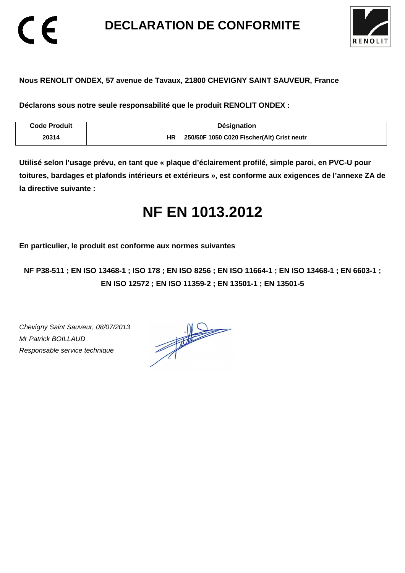**DECLARATION DE CONFORMITE** 



## **Nous RENOLIT ONDEX, 57 avenue de Tavaux, 21800 CHEVIGNY SAINT SAUVEUR, France**

**Déclarons sous notre seule responsabilité que le produit RENOLIT ONDEX :** 

| <b>Code Produit</b> | <b>Désignation</b>                               |
|---------------------|--------------------------------------------------|
| 20314               | 250/50F 1050 C020 Fischer(Alt) Crist neutr<br>ΗR |

**Utilisé selon l'usage prévu, en tant que « plaque d'éclairement profilé, simple paroi, en PVC-U pour toitures, bardages et plafonds intérieurs et extérieurs », est conforme aux exigences de l'annexe ZA de la directive suivante :** 

## **NF EN 1013.2012**

**En particulier, le produit est conforme aux normes suivantes** 

**NF P38-511 ; EN ISO 13468-1 ; ISO 178 ; EN ISO 8256 ; EN ISO 11664-1 ; EN ISO 13468-1 ; EN 6603-1 ; EN ISO 12572 ; EN ISO 11359-2 ; EN 13501-1 ; EN 13501-5**

Chevigny Saint Sauveur, 08/07/2013 Mr Patrick BOILLAUD Responsable service technique

 $\epsilon$ 

 $\frac{1}{\sqrt{2}}$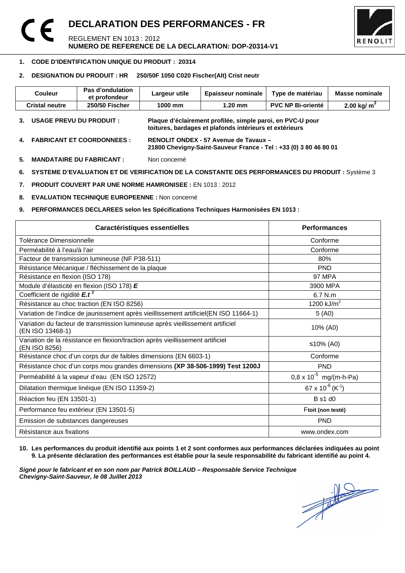## **DECLARATION DES PERFORMANCES - FR**   $\epsilon$ REGLEMENT EN 1013 : 2012 **NUMERO DE REFERENCE DE LA DECLARATION: DOP-20314-V1**



#### 1 **1. CODE D'IDENTIFICATION UNIQUE DU PRODUIT : 20314**

#### **2. DESIGNATION DU PRODUIT : HR 250/50F 1050 C020 Fischer(Alt) Crist neutr**

| Couleur                         | Pas d'ondulation<br>et profondeur | Largeur utile | <b>Epaisseur nominale</b>                                                                                             | Type de matériau         | Masse nominale |
|---------------------------------|-----------------------------------|---------------|-----------------------------------------------------------------------------------------------------------------------|--------------------------|----------------|
| <b>Cristal neutre</b>           | <b>250/50 Fischer</b>             | 1000 mm       | $1.20$ mm                                                                                                             | <b>PVC NP Bi-orienté</b> | 2.00 kg/ $m2$  |
| <b>USAGE PREVU DU PRODUIT :</b> |                                   |               | Plaque d'éclairement profilée, simple paroi, en PVC-U pour<br>toitures, bardages et plafonds intérieurs et extérieurs |                          |                |

- **4. FABRICANT ET COORDONNEES : RENOLIT ONDEX 57 Avenue de Tavaux 21800 Chevigny-Saint-Sauveur France - Tel : +33 (0) 3 80 46 80 01**
- **5. MANDATAIRE DU FABRICANT :** Non concerné
- 6. SYSTEME D'EVALUATION ET DE VERIFICATION DE LA CONSTANTE DES PERFORMANCES DU PRODUIT : Système 3
- **7. PRODUIT COUVERT PAR UNE NORME HAMRONISEE :** EN 1013 : 2012
- **8. EVALUATION TECHNIQUE EUROPEENNE :** Non concerné

### **9. PERFORMANCES DECLAREES selon les Spécifications Techniques Harmonisées EN 1013 :**

| Caractéristiques essentielles                                                                      | <b>Performances</b>                      |
|----------------------------------------------------------------------------------------------------|------------------------------------------|
| Tolérance Dimensionnelle                                                                           | Conforme                                 |
| Perméabilité à l'eau/à l'air                                                                       | Conforme                                 |
| Facteur de transmission lumineuse (NF P38-511)                                                     | 80%                                      |
| Résistance Mécanique / fléchissement de la plaque                                                  | <b>PND</b>                               |
| Résistance en flexion (ISO 178)                                                                    | <b>97 MPA</b>                            |
| Module d'élasticité en flexion (ISO 178) E                                                         | 3900 MPA                                 |
| Coefficient de rigidité E.t <sup>3</sup>                                                           | 6.7 N.m                                  |
| Résistance au choc traction (EN ISO 8256)                                                          | 1200 $kJ/m2$                             |
| Variation de l'indice de jaunissement après vieillissement artificiel(EN ISO 11664-1)              | 5(40)                                    |
| Variation du facteur de transmission lumineuse après vieillissement artificiel<br>(EN ISO 13468-1) | 10% (A0)                                 |
| Variation de la résistance en flexion/traction après vieillissement artificiel<br>(EN ISO 8256)    | ≤10% (A0)                                |
| Résistance choc d'un corps dur de faibles dimensions (EN 6603-1)                                   | Conforme                                 |
| Résistance choc d'un corps mou grandes dimensions (XP 38-506-1999) Test 1200J                      | <b>PND</b>                               |
| Perméabilité à la vapeur d'eau (EN ISO 12572)                                                      | $0.8 \times 10^{-5}$ mg/(m-h-Pa)         |
| Dilatation thermique linéique (EN ISO 11359-2)                                                     | 67 x 10 <sup>-6</sup> (K <sup>-1</sup> ) |
| Réaction feu (EN 13501-1)                                                                          | <b>B</b> s1 d0                           |
| Performance feu extérieur (EN 13501-5)                                                             | Ftoit (non testé)                        |
| Emission de substances dangereuses                                                                 | <b>PND</b>                               |
| Résistance aux fixations                                                                           | www.ondex.com                            |

### **10. Les performances du produit identifié aux points 1 et 2 sont conformes aux performances déclarées indiquées au point 9. La présente déclaration des performances est établie pour la seule responsabilité du fabricant identifié au point 4.**

**Signé pour le fabricant et en son nom par Patrick BOILLAUD – Responsable Service Technique Chevigny-Saint-Sauveur, le 08 Juillet 2013** 

 $\frac{1}{\sqrt{2}}$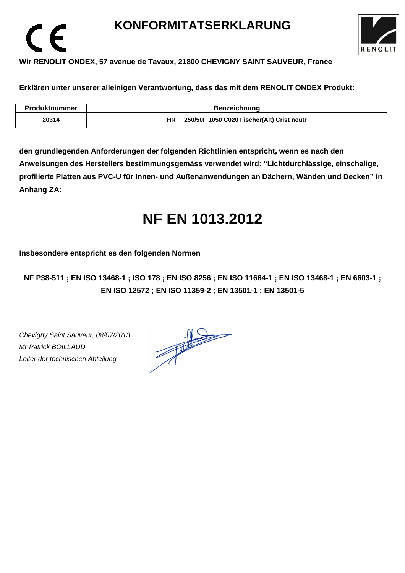## **KONFORMITATSERKLARUNG**



## **Wir RENOLIT ONDEX, 57 avenue de Tavaux, 21800 CHEVIGNY SAINT SAUVEUR, France**

**Erklären unter unserer alleinigen Verantwortung, dass das mit dem RENOLIT ONDEX Produkt:** 

| Produktnummer | <b>Benzeichnung</b>                                     |
|---------------|---------------------------------------------------------|
| 20314         | 250/50F 1050 C020 Fischer(Alt) Crist neutr<br><b>HR</b> |

**den grundlegenden Anforderungen der folgenden Richtlinien entspricht, wenn es nach den Anweisungen des Herstellers bestimmungsgemäss verwendet wird: "Lichtdurchlässige, einschalige, profilierte Platten aus PVC-U für Innen- und Außenanwendungen an Dächern, Wänden und Decken" in Anhang ZA:** 

# **NF EN 1013.2012**

**Insbesondere entspricht es den folgenden Normen** 

**NF P38-511 ; EN ISO 13468-1 ; ISO 178 ; EN ISO 8256 ; EN ISO 11664-1 ; EN ISO 13468-1 ; EN 6603-1 ; EN ISO 12572 ; EN ISO 11359-2 ; EN 13501-1 ; EN 13501-5**

Chevigny Saint Sauveur, 08/07/2013 Mr Patrick BOILLAUD Leiter der technischen Abteilung

 $\epsilon$ 

 $\frac{1}{\sqrt{1-\frac{1}{2}}}\left( \frac{1}{\sqrt{1-\frac{1}{2}}}\right)$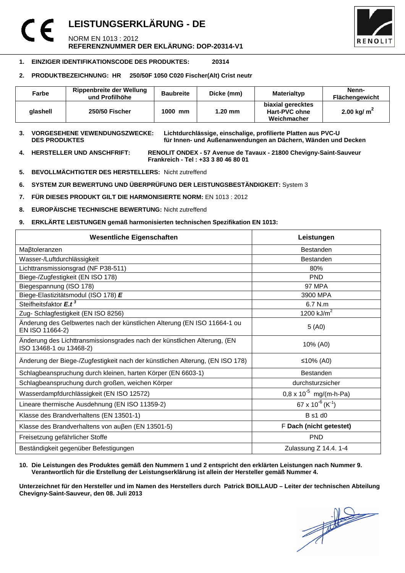## **LEISTUNGSERKLÄRUNG - DE**  NORM EN 1013 : 2012 **REFERENZNUMMER DER EKLÄRUNG: DOP-20314-V1**



### **1. EINZIGER IDENTIFIKATIONSCODE DES PRODUKTES: 20314**

### **2. PRODUKTBEZEICHNUNG: HR 250/50F 1050 C020 Fischer(Alt) Crist neutr**

| Farbe    | Rippenbreite der Wellung<br>und Profilhöhe | <b>Baubreite</b> | Dicke (mm) | Materialtyp                                       | Nenn-<br><b>Flächengewicht</b> |
|----------|--------------------------------------------|------------------|------------|---------------------------------------------------|--------------------------------|
| alashell | <b>250/50 Fischer</b>                      | 1000 mm          | $1.20$ mm  | biaxial gerecktes<br>Hart-PVC ohne<br>Weichmacher | $2.00 \text{ kg/m}^2$          |

## **3. VORGESEHENE VEWENDUNGSZWECKE: Lichtdurchlässige, einschalige, profilierte Platten aus PVC-U**

für Innen- und Außenanwendungen an Dächern, Wänden und Decken

**4. HERSTELLER UND ANSCHFRIFT: RENOLIT ONDEX - 57 Avenue de Tavaux - 21800 Chevigny-Saint-Sauveur Frankreich - Tel : +33 3 80 46 80 01** 

- **5. BEVOLLMÄCHTIGTER DES HERSTELLERS:** Nicht zutreffend
- **6. SYSTEM ZUR BEWERTUNG UND ÜBERPRÜFUNG DER LEISTUNGSBESTÄNDIGKEIT:** System 3
- **7. FÜR DIESES PRODUKT GILT DIE HARMONISIERTE NORM:** EN 1013 : 2012
- **8. EUROPÄISCHE TECHNISCHE BEWERTUNG:** Nicht zutreffend
- **9. ERKLÄRTE LEISTUNGEN gemäß harmonisierten technischen Spezifikation EN 1013:**

| <b>Wesentliche Eigenschaften</b>                                                                    | Leistungen                               |  |
|-----------------------------------------------------------------------------------------------------|------------------------------------------|--|
| Maßtoleranzen                                                                                       | <b>Bestanden</b>                         |  |
| Wasser-/Luftdurchlässigkeit                                                                         | Bestanden                                |  |
| Lichttransmissionsgrad (NF P38-511)                                                                 | 80%                                      |  |
| Biege-/Zugfestigkeit (EN ISO 178)                                                                   | <b>PND</b>                               |  |
| Biegespannung (ISO 178)                                                                             | <b>97 MPA</b>                            |  |
| Biege-Elastizitätsmodul (ISO 178) E                                                                 | 3900 MPA                                 |  |
| Steifheitsfaktor E.t <sup>3</sup>                                                                   | 6.7 N.m                                  |  |
| Zug- Schlagfestigkeit (EN ISO 8256)                                                                 | 1200 $kJ/m2$                             |  |
| Änderung des Gelbwertes nach der künstlichen Alterung (EN ISO 11664-1 ou<br>EN ISO 11664-2)         | 5(40)                                    |  |
| Änderung des Lichttransmissionsgrades nach der künstlichen Alterung, (EN<br>ISO 13468-1 ou 13468-2) | 10% (A0)                                 |  |
| Änderung der Biege-/Zugfestigkeit nach der künstlichen Alterung, (EN ISO 178)                       | ≤10% (A0)                                |  |
| Schlagbeanspruchung durch kleinen, harten Körper (EN 6603-1)                                        | <b>Bestanden</b>                         |  |
| Schlagbeanspruchung durch großen, weichen Körper                                                    | durchsturzsicher                         |  |
| Wasserdampfdurchlässigkeit (EN ISO 12572)                                                           | $0.8 \times 10^{-5}$ mg/(m-h-Pa)         |  |
| Lineare thermische Ausdehnung (EN ISO 11359-2)                                                      | 67 x 10 <sup>-6</sup> (K <sup>-1</sup> ) |  |
| Klasse des Brandverhaltens (EN 13501-1)                                                             | <b>B</b> s1 d0                           |  |
| Klasse des Brandverhaltens von außen (EN 13501-5)                                                   | F Dach (nicht getestet)                  |  |
| Freisetzung gefährlicher Stoffe                                                                     | <b>PND</b>                               |  |
| Beständigkeit gegenüber Befestigungen                                                               | Zulassung Z 14.4. 1-4                    |  |

#### **10. Die Leistungen des Produktes gemäß den Nummern 1 und 2 entspricht den erklärten Leistungen nach Nummer 9. Verantwortlich für die Erstellung der Leistungserklärung ist allein der Hersteller gemäß Nummer 4.**

**Unterzeichnet für den Hersteller und im Namen des Herstellers durch Patrick BOILLAUD – Leiter der technischen Abteilung Chevigny-Saint-Sauveur, den 08. Juli 2013**

 $\frac{1}{\sqrt{2}}$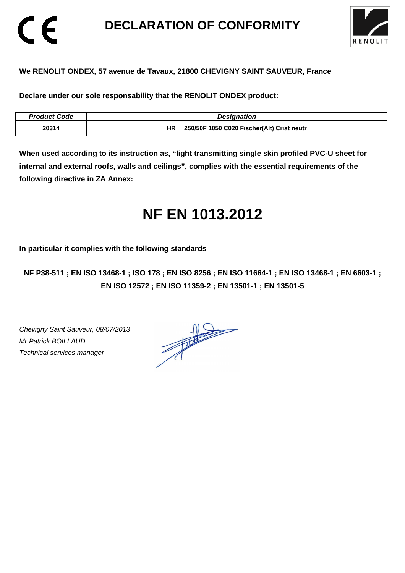## **DECLARATION OF CONFORMITY**



## **We RENOLIT ONDEX, 57 avenue de Tavaux, 21800 CHEVIGNY SAINT SAUVEUR, France**

**Declare under our sole responsability that the RENOLIT ONDEX product:** 

| <b>Product Code</b> | <b>Designation</b>                         |
|---------------------|--------------------------------------------|
| 20314               | 250/50F 1050 C020 Fischer(Alt) Crist neutr |

**When used according to its instruction as, "light transmitting single skin profiled PVC-U sheet for internal and external roofs, walls and ceilings", complies with the essential requirements of the following directive in ZA Annex:** 

# **NF EN 1013.2012**

**In particular it complies with the following standards** 

**NF P38-511 ; EN ISO 13468-1 ; ISO 178 ; EN ISO 8256 ; EN ISO 11664-1 ; EN ISO 13468-1 ; EN 6603-1 ; EN ISO 12572 ; EN ISO 11359-2 ; EN 13501-1 ; EN 13501-5**

Chevigny Saint Sauveur, 08/07/2013 Mr Patrick BOILLAUD Technical services manager

CE

 $\frac{1}{\sqrt{1-\frac{1}{2}}}\left\vert \frac{1}{\sqrt{1-\frac{1}{2}}}\right\vert = \frac{1}{\sqrt{1-\frac{1}{2}}}\left\vert \frac{1}{\sqrt{1-\frac{1}{2}}}\right\vert.$